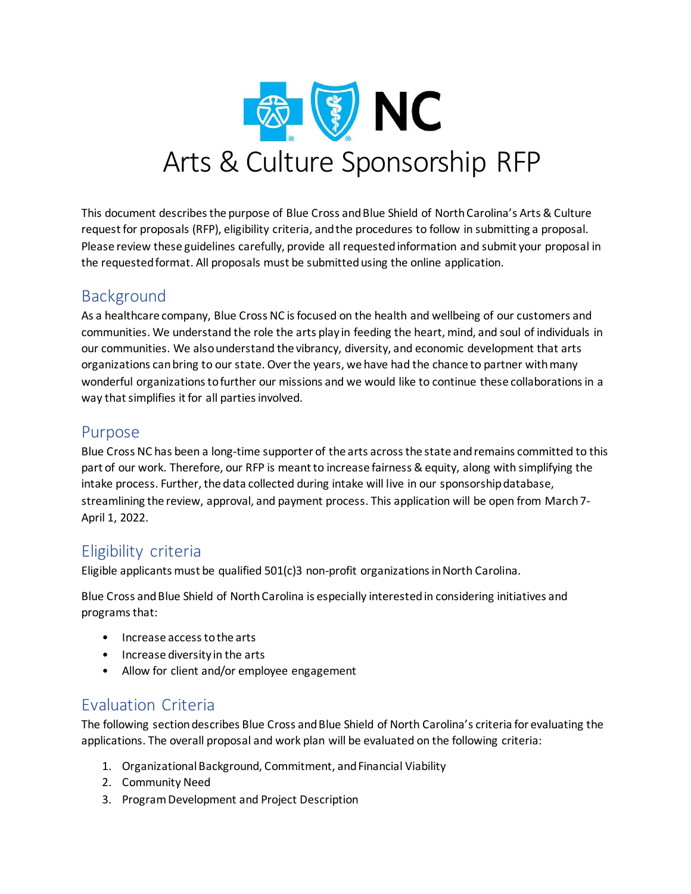

This document describes the purpose of Blue Cross and Blue Shield of North Carolina's Arts & Culture request for proposals (RFP), eligibility criteria, and the procedures to follow in submitting a proposal. Please review these guidelines carefully, provide all requested information and submit your proposal in the requested format. All proposals must be submitted using the online application.

### Background

As a healthcare company, Blue Cross NC is focused on the health and wellbeing of our customers and communities. We understand the role the arts play in feeding the heart, mind, and soul of individuals in our communities. We also understand the vibrancy, diversity, and economic development that arts organizations can bring to our state. Over the years, we have had the chance to partner with many wonderful organizations to further our missions and we would like to continue these collaborations in a way that simplifies it for all parties involved.

### Purpose

Blue Cross NC has been a long-time supporter of the arts across the state and remains committed to this part of our work. Therefore, our RFP is meant to increase fairness & equity, along with simplifying the intake process. Further, the data collected during intake will live in our sponsorship database, streamlining the review, approval, and payment process. This application will be open from March 7- April 1, 2022.

# Eligibility criteria

Eligible applicants must be qualified 501(c)3 non-profit organizations in North Carolina.

Blue Cross and Blue Shield of North Carolina is especially interested in considering initiatives and programs that:

- Increase access to the arts
- Increase diversity in the arts
- Allow for client and/or employee engagement

# Evaluation Criteria

The following section describes Blue Cross and Blue Shield of North Carolina's criteria for evaluating the applications. The overall proposal and work plan will be evaluated on the following criteria:

- 1. Organizational Background, Commitment, and Financial Viability
- 2. Community Need
- 3. Program Development and Project Description